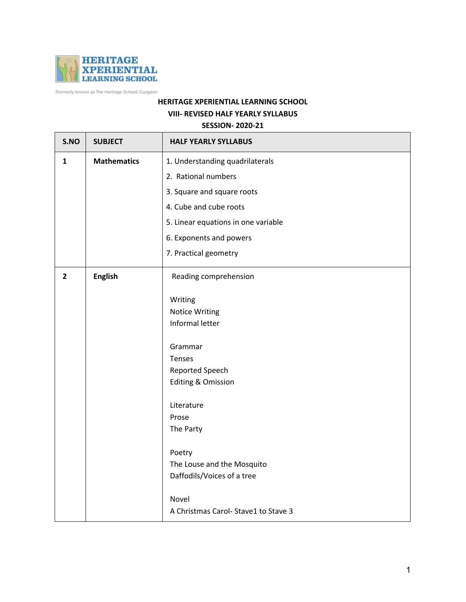

Formerly known as The Heritage School, Gurgaon

## **HERITAGE XPERIENTIAL LEARNING SCHOOL VIII- REVISED HALF YEARLY SYLLABUS SESSION- 2020-21**

## **S.NO SUBJECT HALF YEARLY SYLLABUS 1 Mathematics** 1. Understanding quadrilaterals 2. Rational numbers 3. Square and square roots 4. Cube and cube roots 5. Linear equations in one variable 6. Exponents and powers 7. Practical geometry **2 English** Reading comprehension Writing Notice Writing Informal letter Grammar Tenses Reported Speech Editing & Omission Literature Prose The Party Poetry The Louse and the Mosquito Daffodils/Voices of a tree Novel A Christmas Carol- Stave1 to Stave 3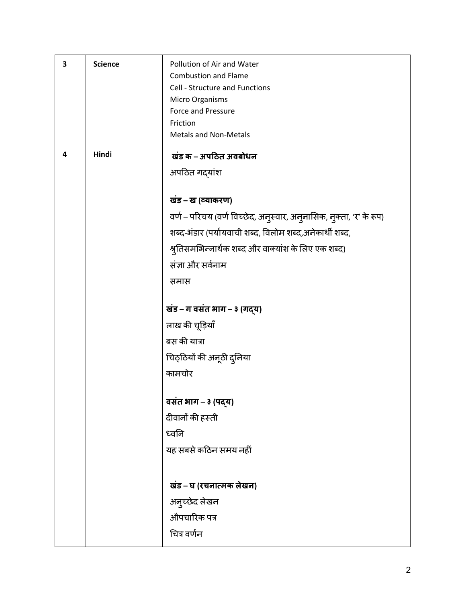| 3 | <b>Science</b> | Pollution of Air and Water<br><b>Combustion and Flame</b><br>Cell - Structure and Functions<br>Micro Organisms<br><b>Force and Pressure</b><br>Friction<br><b>Metals and Non-Metals</b> |
|---|----------------|-----------------------------------------------------------------------------------------------------------------------------------------------------------------------------------------|
| 4 | Hindi          | खंड क – अपठित अवबोधन                                                                                                                                                                    |
|   |                | अपठित गद्यांश                                                                                                                                                                           |
|   |                | खंड – ख (व्याकरण)                                                                                                                                                                       |
|   |                | वर्ण – परिचय (वर्ण विच्छेद, अनुस्वार, अनुनासिक, नुक्ता, 'र' के रूप)                                                                                                                     |
|   |                | शब्द-भंडार (पर्यायवाची शब्द, विलोम शब्द,अनेकार्थी शब्द,                                                                                                                                 |
|   |                | श्रुतिसमभिन्नार्थक शब्द और वाक्यांश के लिए एक शब्द)                                                                                                                                     |
|   |                | संज्ञा और सर्वनाम                                                                                                                                                                       |
|   |                | समास                                                                                                                                                                                    |
|   |                | खंड - ग वसंत भाग - ३ (गद्य)                                                                                                                                                             |
|   |                | लाख की चूड़ियाँ                                                                                                                                                                         |
|   |                | बस की यात्रा                                                                                                                                                                            |
|   |                | चिठ्ठियों की अनूठी दुनिया                                                                                                                                                               |
|   |                | कामचोर                                                                                                                                                                                  |
|   |                | वसंत भाग – ३ (पद्य)                                                                                                                                                                     |
|   |                | दीवानों की हस्ती                                                                                                                                                                        |
|   |                | ध्वनि                                                                                                                                                                                   |
|   |                | यह सबसे कठिन समय नहीं                                                                                                                                                                   |
|   |                |                                                                                                                                                                                         |
|   |                | खंड – घ (रचनात्मक लेखन)                                                                                                                                                                 |
|   |                | अनुच्छेद लेखन<br>औपचारिक पत्र                                                                                                                                                           |
|   |                | चित्र वर्णन                                                                                                                                                                             |
|   |                |                                                                                                                                                                                         |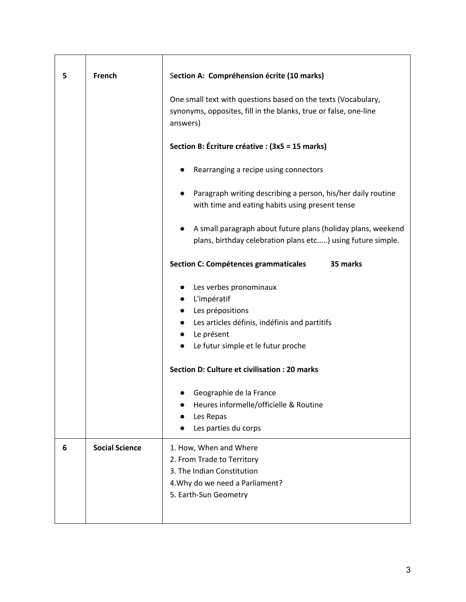| 5 | French                | Section A: Compréhension écrite (10 marks)                                                                                                     |
|---|-----------------------|------------------------------------------------------------------------------------------------------------------------------------------------|
|   |                       | One small text with questions based on the texts (Vocabulary,<br>synonyms, opposites, fill in the blanks, true or false, one-line<br>answers)  |
|   |                       | Section B: Écriture créative : (3x5 = 15 marks)                                                                                                |
|   |                       | Rearranging a recipe using connectors                                                                                                          |
|   |                       | Paragraph writing describing a person, his/her daily routine<br>with time and eating habits using present tense                                |
|   |                       | A small paragraph about future plans (holiday plans, weekend<br>plans, birthday celebration plans etc) using future simple.                    |
|   |                       | 35 marks<br><b>Section C: Compétences grammaticales</b>                                                                                        |
|   |                       | Les verbes pronominaux<br>$\bullet$<br>L'impératif<br>Les prépositions<br>Les articles définis, indéfinis and partitifs                        |
|   |                       | Le présent<br>$\bullet$<br>Le futur simple et le futur proche<br>$\bullet$                                                                     |
|   |                       | Section D: Culture et civilisation : 20 marks                                                                                                  |
|   |                       | Geographie de la France<br>Heures informelle/officielle & Routine<br>Les Repas<br>Les parties du corps                                         |
| 6 | <b>Social Science</b> | 1. How, When and Where<br>2. From Trade to Territory<br>3. The Indian Constitution<br>4. Why do we need a Parliament?<br>5. Earth-Sun Geometry |
|   |                       |                                                                                                                                                |